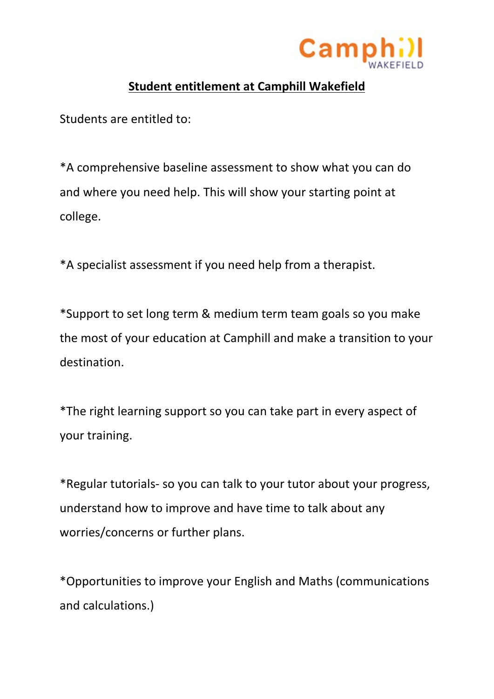

## **Student entitlement at Camphill Wakefield**

Students are entitled to:

\*A comprehensive baseline assessment to show what you can do and where you need help. This will show your starting point at college.

\*A specialist assessment if you need help from a therapist.

\*Support to set long term & medium term team goals so you make the most of your education at Camphill and make a transition to your destination.

\*The right learning support so you can take part in every aspect of your training.

\*Regular tutorials- so you can talk to your tutor about your progress, understand how to improve and have time to talk about any worries/concerns or further plans.

\*Opportunities to improve your English and Maths (communications and calculations.)